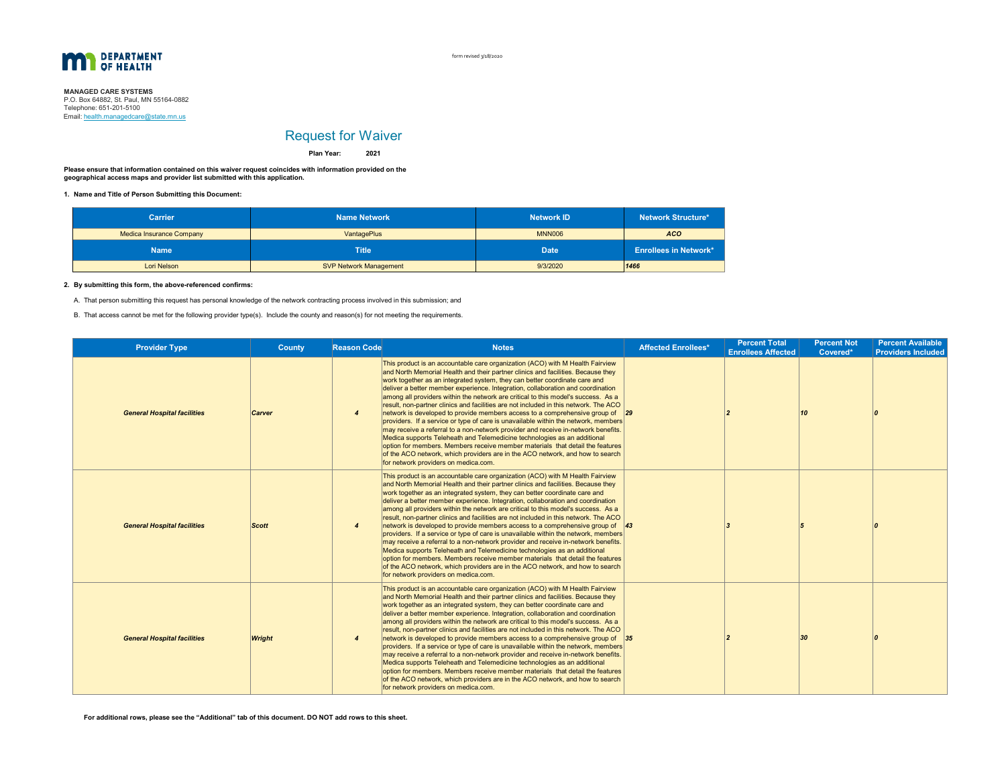

form revised 3/18/2020

## **MANAGED CARE SYSTEMS**<br>P.O. Box 64882, St. Paul, MN 55164-0882 Email: <u>health.managedcare@state.mn.us</u> Telephone: 651-201-5100

# Request for Waiver

**2021Plan Year:**

**Please ensure that information contained on this waiver request coincides with information provided on the geographical access maps and provider list submitted with this application.**

**1. Name and Title of Person Submitting this Document:**

| <b>Carrier</b>                  | <b>Name Network</b>           | <b>Network ID</b> | <b>Network Structure*</b>    |  |
|---------------------------------|-------------------------------|-------------------|------------------------------|--|
| <b>Medica Insurance Company</b> | VantagePlus                   | <b>MNN006</b>     | <b>ACO</b>                   |  |
| <b>Name</b>                     | <b>Title</b>                  | <b>Date</b>       | <b>Enrollees in Network*</b> |  |
| Lori Nelson                     | <b>SVP Network Management</b> | 9/3/2020          | 1466                         |  |

### **2. By submitting this form, the above-referenced confirms:**

A. That person submitting this request has personal knowledge of the network contracting process involved in this submission; and

B. That access cannot be met for the following provider type(s). Include the county and reason(s) for not meeting the requirements.

| <b>Provider Type</b>               | County        | <b>Reason Code</b>     | <b>Notes</b>                                                                                                                                                                                                                                                                                                                                                                                                                                                                                                                                                                                                                                                                                                                                                                                                                                                                                                                                                                                                                                                                      | <b>Affected Enrollees*</b> | <b>Percent Total</b><br><b>Enrollees Affected</b> | <b>Percent Not</b><br>Covered* | <b>Percent Available</b><br><b>Providers Included</b> |
|------------------------------------|---------------|------------------------|-----------------------------------------------------------------------------------------------------------------------------------------------------------------------------------------------------------------------------------------------------------------------------------------------------------------------------------------------------------------------------------------------------------------------------------------------------------------------------------------------------------------------------------------------------------------------------------------------------------------------------------------------------------------------------------------------------------------------------------------------------------------------------------------------------------------------------------------------------------------------------------------------------------------------------------------------------------------------------------------------------------------------------------------------------------------------------------|----------------------------|---------------------------------------------------|--------------------------------|-------------------------------------------------------|
| <b>General Hospital facilities</b> | Carver        | 4                      | This product is an accountable care organization (ACO) with M Health Fairview<br>and North Memorial Health and their partner clinics and facilities. Because they<br>work together as an integrated system, they can better coordinate care and<br>deliver a better member experience. Integration, collaboration and coordination<br>among all providers within the network are critical to this model's success. As a<br>result, non-partner clinics and facilities are not included in this network. The ACO<br>network is developed to provide members access to a comprehensive group of $\frac{29}{29}$<br>providers. If a service or type of care is unavailable within the network, members<br>may receive a referral to a non-network provider and receive in-network benefits.<br>Medica supports Teleheath and Telemedicine technologies as an additional<br>option for members. Members receive member materials that detail the features<br>of the ACO network, which providers are in the ACO network, and how to search<br>for network providers on medica.com.    |                            |                                                   | 10                             |                                                       |
| <b>General Hospital facilities</b> | <b>Scott</b>  | 4                      | This product is an accountable care organization (ACO) with M Health Fairview<br>and North Memorial Health and their partner clinics and facilities. Because they<br>work together as an integrated system, they can better coordinate care and<br>deliver a better member experience. Integration, collaboration and coordination<br>among all providers within the network are critical to this model's success. As a<br>result, non-partner clinics and facilities are not included in this network. The ACO<br>network is developed to provide members access to a comprehensive group of $\vert 43 \rangle$<br>providers. If a service or type of care is unavailable within the network, members<br>may receive a referral to a non-network provider and receive in-network benefits.<br>Medica supports Teleheath and Telemedicine technologies as an additional<br>option for members. Members receive member materials that detail the features<br>of the ACO network, which providers are in the ACO network, and how to search<br>for network providers on medica.com. |                            |                                                   |                                |                                                       |
| <b>General Hospital facilities</b> | <b>Wright</b> | $\boldsymbol{\Lambda}$ | This product is an accountable care organization (ACO) with M Health Fairview<br>and North Memorial Health and their partner clinics and facilities. Because they<br>work together as an integrated system, they can better coordinate care and<br>deliver a better member experience. Integration, collaboration and coordination<br>among all providers within the network are critical to this model's success. As a<br>result, non-partner clinics and facilities are not included in this network. The ACO<br>network is developed to provide members access to a comprehensive group of $35$<br>providers. If a service or type of care is unavailable within the network, members<br>may receive a referral to a non-network provider and receive in-network benefits.<br>Medica supports Teleheath and Telemedicine technologies as an additional<br>option for members. Members receive member materials that detail the features<br>of the ACO network, which providers are in the ACO network, and how to search<br>for network providers on medica.com.               |                            |                                                   | 30                             |                                                       |

**For additional rows, please see the "Additional" tab of this document. DO NOT add rows to this sheet.**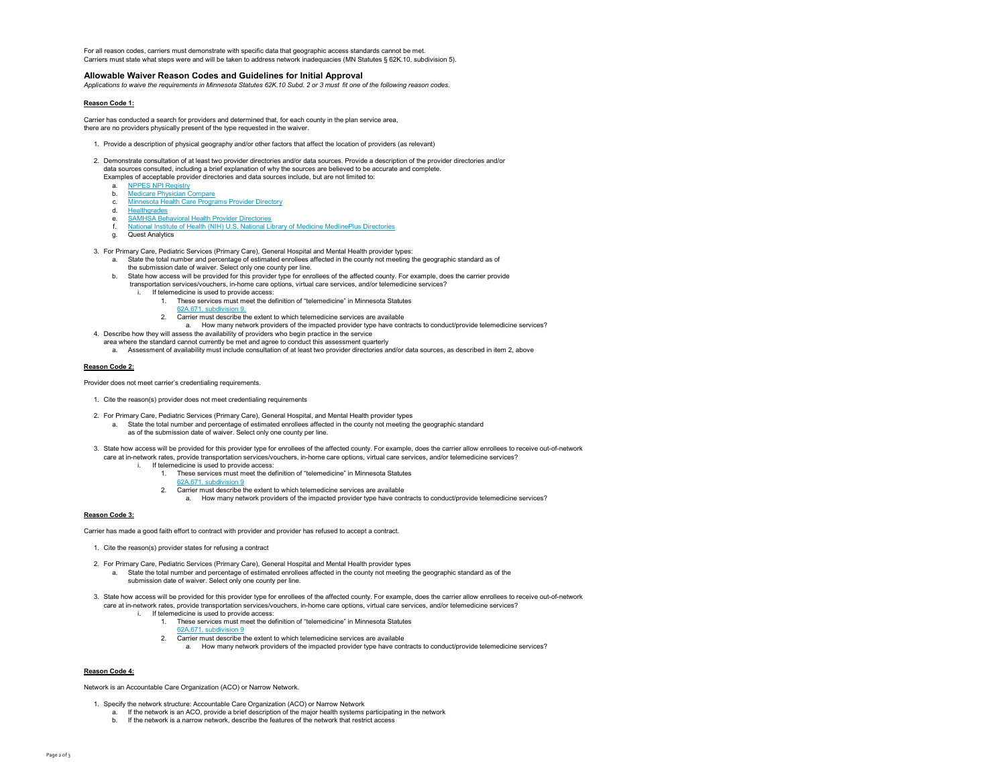For all reason codes, carriers must demonstrate with specific data that geographic access standards cannot be met. Carriers must state what steps were and will be taken to address network inadequacies (MN Statutes § 62K.10, subdivision 5).

## **Allowable Waiver Reason Codes and Guidelines for Initial Approval**

*Applications to waive the requirements in Minnesota Statutes 62K.10 Subd. 2 or 3 must fit one of the following reason codes.*

#### **Reason Code 1:**

Carrier has conducted a search for providers and determined that, for each county in the plan service area, there are no providers physically present of the type requested in the waiver.

- 1. Provide a description of physical geography and/or other factors that affect the location of providers (as relevant)
- 2. Demonstrate consultation of at least two provider directories and/or data sources. Provide a description of the provider directories and/or data sources consulted, including a brief explanation of why the sources are believed to be accurate and complete.
	- Examples of acceptable provider directories and data sources include, but are not limited to:
	- a. NPPES NPI Registry
	- b. Medicare Physician Compare
	- c. Minnesota Health Care Programs Provider Directory
	- d. <u>Healthgrades</u>
	- e. SAMHSA Behavioral Health Provider Directoriesf. National Institute of Health (NIH) U.S. National Library of Medicine MedlinePlus Directories
	- g. Quest Analytics

3. For Primary Care, Pediatric Services (Primary Care), General Hospital and Mental Health provider types:

- a. State the total number and percentage of estimated enrollees affected in the county not meeting the geographic standard as of the submission date of waiver. Select only one county per line.
- b. State how access will be provided for this provider type for enrollees of the affected county. For example, does the carrier provide transportation services/vouchers, in-home care options, virtual care services, and/or telemedicine services?
	- i. If telemedicine is used to provide access:
		- 1. These services must meet the definition of "telemedicine" in Minnesota Statutes
		- 62A.671, subdivision 9.
		- 2. Carrier must describe the extent to which telemedicine services are available
	- a. How many network providers of the impacted provider type have contracts to conduct/provide telemedicine services?
- 4. Describe how they will assess the availability of providers who begin practice in the service
	- area where the standard cannot currently be met and agree to conduct this assessment quarterly
	- a. Assessment of availability must include consultation of at least two provider directories and/or data sources, as described in item 2, above

## **Reason Code 2:**

Provider does not meet carrier's credentialing requirements.

- 1. Cite the reason(s) provider does not meet credentialing requirements
- 2. For Primary Care, Pediatric Services (Primary Care), General Hospital, and Mental Health provider types
	- a. State the total number and percentage of estimated enrollees affected in the county not meeting the geographic standard as of the submission date of waiver. Select only one county per line.
	-
- 3. State how access will be provided for this provider type for enrollees of the affected county. For example, does the carrier allow enrollees to receive out-of-network care at in-network rates, provide transportation services/vouchers, in-home care options, virtual care services, and/or telemedicine services?
	- i. If telemedicine is used to provide access:
		- 1. These services must meet the definition of "telemedicine" in Minnesota Statutes
		- 62A.671, subdivision 9
		- 2. Carrier must describe the extent to which telemedicine services are available
		- a. How many network providers of the impacted provider type have contracts to conduct/provide telemedicine services?

#### **Reason Code 3:**

Carrier has made a good faith effort to contract with provider and provider has refused to accept a contract.

- 1. Cite the reason(s) provider states for refusing a contract
- 2. For Primary Care, Pediatric Services (Primary Care), General Hospital and Mental Health provider types
	- a. State the total number and percentage of estimated enrollees affected in the county not meeting the geographic standard as of the submission date of waiver. Select only one county per line.
- 3. State how access will be provided for this provider type for enrollees of the affected county. For example, does the carrier allow enrollees to receive out-of-network care at in-network rates, provide transportation services/vouchers, in-home care options, virtual care services, and/or telemedicine services?
	- i. If telemedicine is used to provide access:
		- 1. These services must meet the definition of "telemedicine" in Minnesota Statutes 62A.671, subdivision 9
		-
		- 2. Carrier must describe the extent to which telemedicine services are available
			- a. How many network providers of the impacted provider type have contracts to conduct/provide telemedicine services?

## **Reason Code 4:**

Network is an Accountable Care Organization (ACO) or Narrow Network.

- 1. Specify the network structure: Accountable Care Organization (ACO) or Narrow Network
	- a. If the network is an ACO, provide a brief description of the major health systems participating in the network
	- b. If the network is a narrow network, describe the features of the network that restrict access